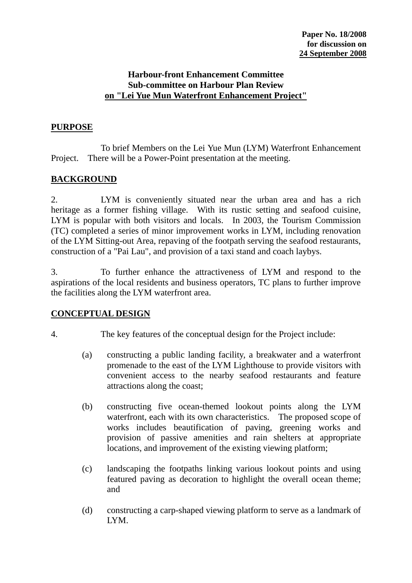#### **Harbour-front Enhancement Committee Sub-committee on Harbour Plan Review on "Lei Yue Mun Waterfront Enhancement Project"**

### **PURPOSE**

 To brief Members on the Lei Yue Mun (LYM) Waterfront Enhancement Project. There will be a Power-Point presentation at the meeting.

#### **BACKGROUND**

2. LYM is conveniently situated near the urban area and has a rich heritage as a former fishing village. With its rustic setting and seafood cuisine, LYM is popular with both visitors and locals. In 2003, the Tourism Commission (TC) completed a series of minor improvement works in LYM, including renovation of the LYM Sitting-out Area, repaving of the footpath serving the seafood restaurants, construction of a "Pai Lau", and provision of a taxi stand and coach laybys.

3. To further enhance the attractiveness of LYM and respond to the aspirations of the local residents and business operators, TC plans to further improve the facilities along the LYM waterfront area.

#### **CONCEPTUAL DESIGN**

- 4. The key features of the conceptual design for the Project include:
	- (a) constructing a public landing facility, a breakwater and a waterfront promenade to the east of the LYM Lighthouse to provide visitors with convenient access to the nearby seafood restaurants and feature attractions along the coast;
	- (b) constructing five ocean-themed lookout points along the LYM waterfront, each with its own characteristics. The proposed scope of works includes beautification of paving, greening works and provision of passive amenities and rain shelters at appropriate locations, and improvement of the existing viewing platform;
	- (c) landscaping the footpaths linking various lookout points and using featured paving as decoration to highlight the overall ocean theme; and
	- (d) constructing a carp-shaped viewing platform to serve as a landmark of LYM.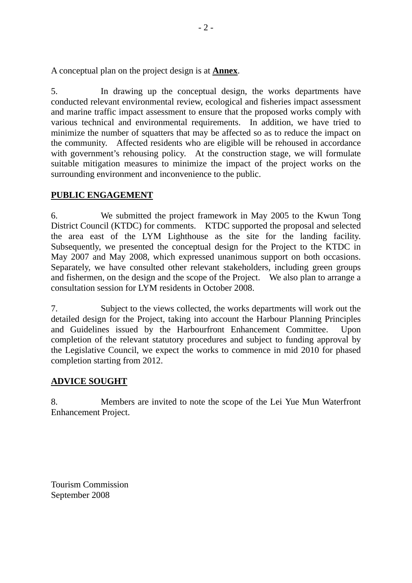A conceptual plan on the project design is at **Annex**.

5. In drawing up the conceptual design, the works departments have conducted relevant environmental review, ecological and fisheries impact assessment and marine traffic impact assessment to ensure that the proposed works comply with various technical and environmental requirements. In addition, we have tried to minimize the number of squatters that may be affected so as to reduce the impact on the community. Affected residents who are eligible will be rehoused in accordance with government's rehousing policy. At the construction stage, we will formulate suitable mitigation measures to minimize the impact of the project works on the surrounding environment and inconvenience to the public.

## **PUBLIC ENGAGEMENT**

6. We submitted the project framework in May 2005 to the Kwun Tong District Council (KTDC) for comments. KTDC supported the proposal and selected the area east of the LYM Lighthouse as the site for the landing facility. Subsequently, we presented the conceptual design for the Project to the KTDC in May 2007 and May 2008, which expressed unanimous support on both occasions. Separately, we have consulted other relevant stakeholders, including green groups and fishermen, on the design and the scope of the Project. We also plan to arrange a consultation session for LYM residents in October 2008.

7. Subject to the views collected, the works departments will work out the detailed design for the Project, taking into account the Harbour Planning Principles and Guidelines issued by the Harbourfront Enhancement Committee. Upon completion of the relevant statutory procedures and subject to funding approval by the Legislative Council, we expect the works to commence in mid 2010 for phased completion starting from 2012.

# **ADVICE SOUGHT**

8. Members are invited to note the scope of the Lei Yue Mun Waterfront Enhancement Project.

Tourism Commission September 2008